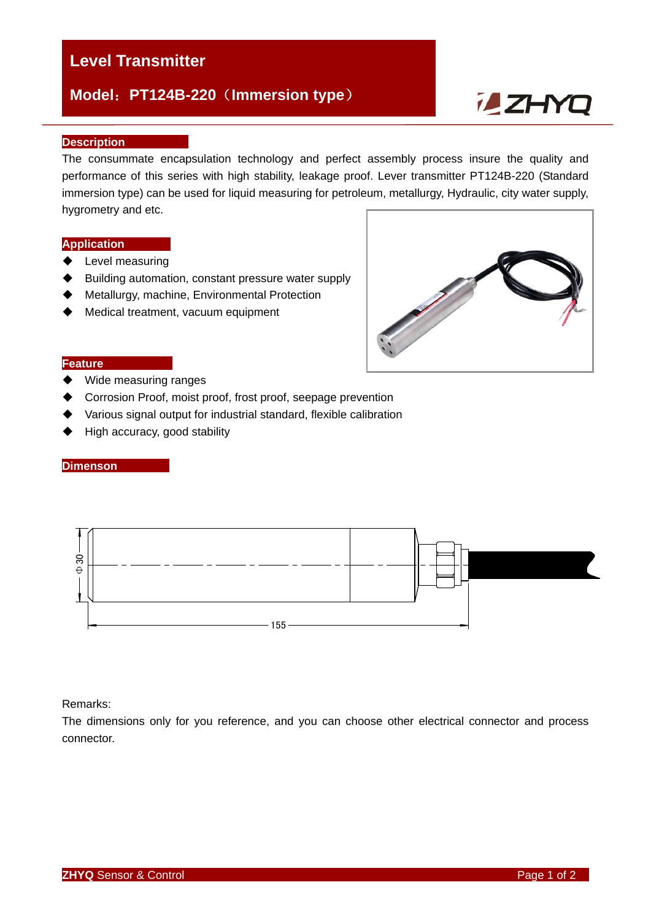# **Level Transmitter**

# **Model**:**PT124B-220**(**Immersion type**)

# **ZHYQ**

#### **Description**

The consummate encapsulation technology and perfect assembly process insure the quality and performance of this series with high stability, leakage proof. Lever transmitter PT124B-220 (Standard immersion type) can be used for liquid measuring for petroleum, metallurgy, Hydraulic, city water supply, hygrometry and etc.

#### **Application**

- ◆ Level measuring
- ♦ Building automation, constant pressure water supply
- Metallurgy, machine, Environmental Protection
- ◆ Medical treatment, vacuum equipment



#### **Feature**

- ◆ Wide measuring ranges
- Corrosion Proof, moist proof, frost proof, seepage prevention
- Various signal output for industrial standard, flexible calibration
- ◆ High accuracy, good stability

#### **Dimenson**



#### Remarks:

The dimensions only for you reference, and you can choose other electrical connector and process connector.